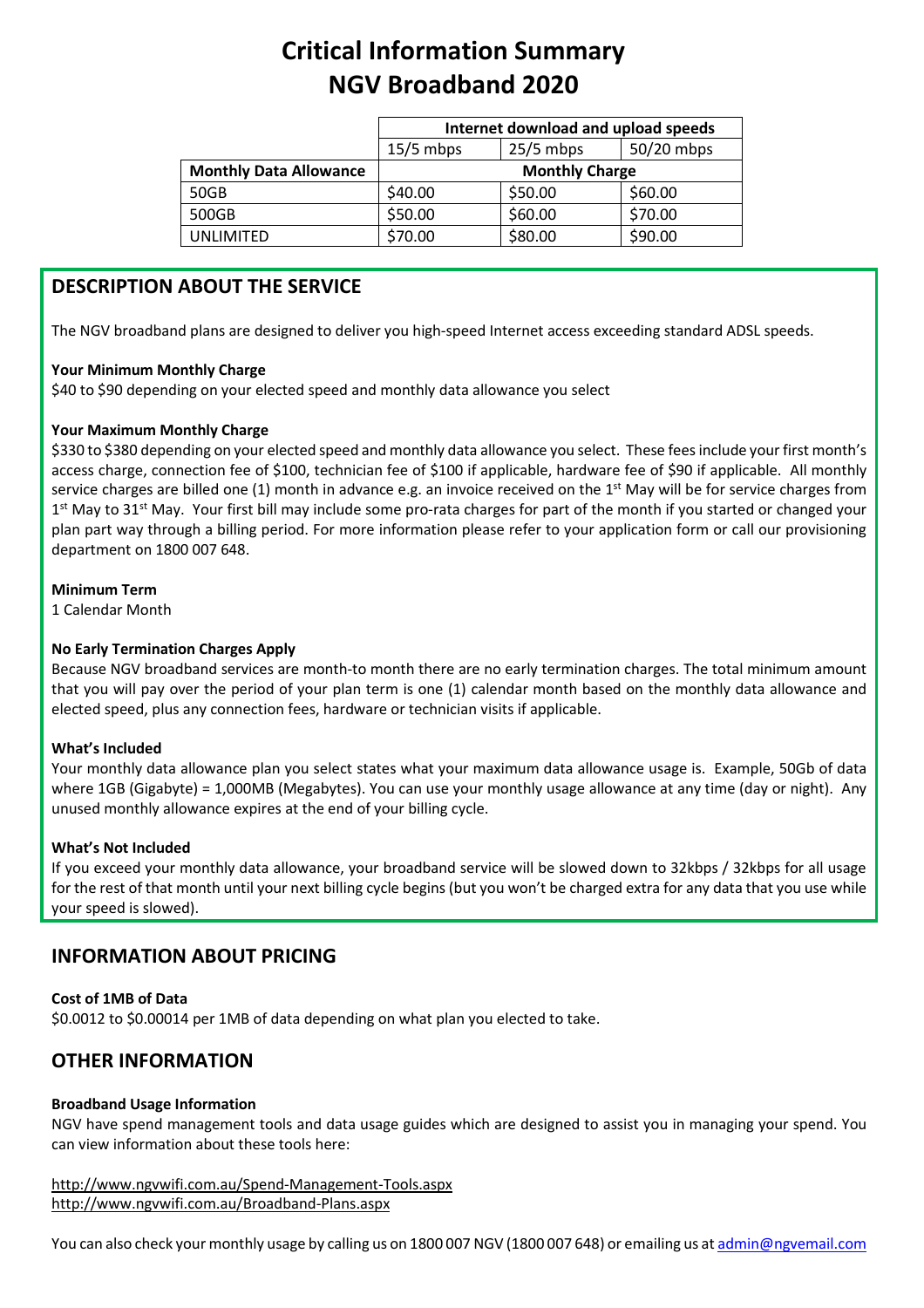# **Critical Information Summary NGV Broadband 2020**

|                               | Internet download and upload speeds |             |            |
|-------------------------------|-------------------------------------|-------------|------------|
|                               | $15/5$ mbps                         | $25/5$ mbps | 50/20 mbps |
| <b>Monthly Data Allowance</b> | <b>Monthly Charge</b>               |             |            |
| 50GB                          | \$40.00                             | \$50.00     | \$60.00    |
| 500GB                         | \$50.00                             | \$60.00     | \$70.00    |
| UNLIMITED                     | \$70.00                             | \$80.00     | \$90.00    |

# **DESCRIPTION ABOUT THE SERVICE**

The NGV broadband plans are designed to deliver you high-speed Internet access exceeding standard ADSL speeds.

# **Your Minimum Monthly Charge**

\$40 to \$90 depending on your elected speed and monthly data allowance you select

# **Your Maximum Monthly Charge**

\$330 to \$380 depending on your elected speed and monthly data allowance you select. These fees include your first month's access charge, connection fee of \$100, technician fee of \$100 if applicable, hardware fee of \$90 if applicable. All monthly service charges are billed one  $(1)$  month in advance e.g. an invoice received on the 1<sup>st</sup> May will be for service charges from  $1<sup>st</sup>$  May to 31<sup>st</sup> May. Your first bill may include some pro-rata charges for part of the month if you started or changed your plan part way through a billing period. For more information please refer to your application form or call our provisioning department on 1800 007 648.

# **Minimum Term**

1 Calendar Month

# **No Early Termination Charges Apply**

Because NGV broadband services are month-to month there are no early termination charges. The total minimum amount that you will pay over the period of your plan term is one (1) calendar month based on the monthly data allowance and elected speed, plus any connection fees, hardware or technician visits if applicable.

# **What's Included**

Your monthly data allowance plan you select states what your maximum data allowance usage is. Example, 50Gb of data where 1GB (Gigabyte) = 1,000MB (Megabytes). You can use your monthly usage allowance at any time (day or night). Any unused monthly allowance expires at the end of your billing cycle.

# **What's Not Included**

If you exceed your monthly data allowance, your broadband service will be slowed down to 32kbps / 32kbps for all usage for the rest of that month until your next billing cycle begins (but you won't be charged extra for any data that you use while your speed is slowed).

# **INFORMATION ABOUT PRICING**

# **Cost of 1MB of Data**

\$0.0012 to \$0.00014 per 1MB of data depending on what plan you elected to take.

# **OTHER INFORMATION**

# **Broadband Usage Information**

NGV have spend management tools and data usage guides which are designed to assist you in managing your spend. You can view information about these tools here:

http://www.ngvwifi.com.au/Spend-Management-Tools.aspx <http://www.ngvwifi.com.au/Broadband-Plans.aspx>

You can also check your monthly usage by calling us on 1800 007 NGV (1800 007 648) or emailing us a[t admin@ngvemail.com](mailto:admin@ngvemail.com)